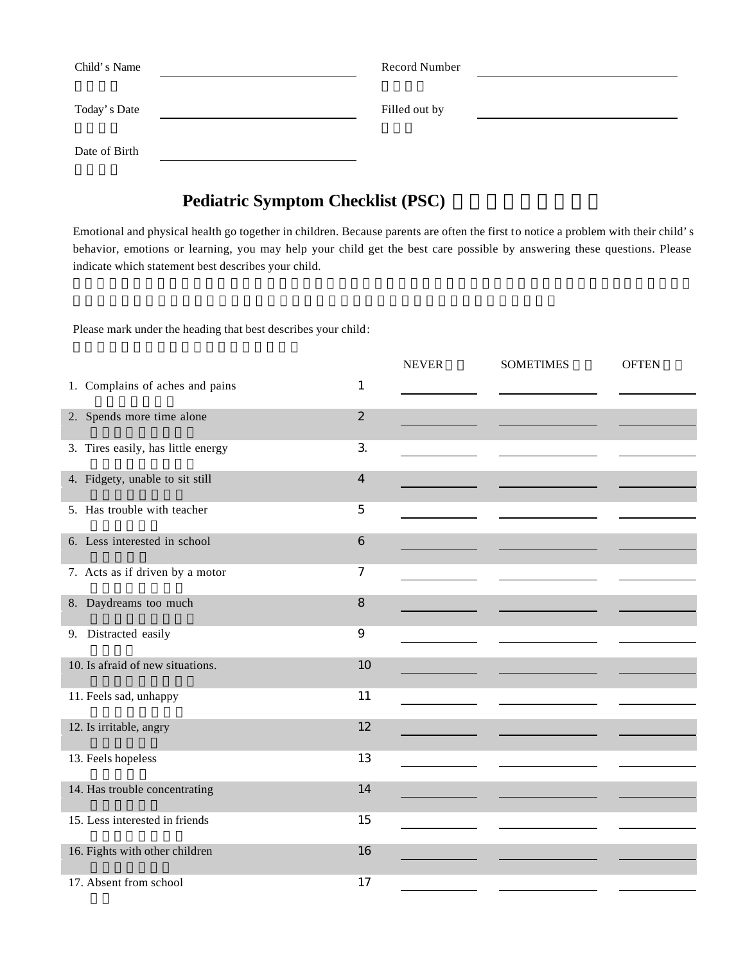| Child's Name  | Record Number |  |
|---------------|---------------|--|
| Today's Date  | Filled out by |  |
| Date of Birth |               |  |

## **Pediatric Symptom Checklist (PSC)**

Emotional and physical health go together in children. Because parents are often the first to notice a problem with their child's behavior, emotions or learning, you may help your child get the best care possible by answering these questions. Please indicate which statement best describes your child.

Please mark under the heading that best describes your child:

|                                    |                         | <b>NEVER</b> | <b>SOMETIMES</b> | <b>OFTEN</b> |
|------------------------------------|-------------------------|--------------|------------------|--------------|
| 1. Complains of aches and pains    | $\mathbf{1}$            |              |                  |              |
| 2. Spends more time alone          | $\overline{2}$          |              |                  |              |
| 3. Tires easily, has little energy | $\mathbf{3}$            |              |                  |              |
| 4. Fidgety, unable to sit still    | $\overline{\mathbf{4}}$ |              |                  |              |
| 5. Has trouble with teacher        | 5                       |              |                  |              |
| 6. Less interested in school       | 6                       |              |                  |              |
| 7. Acts as if driven by a motor    | 7                       |              |                  |              |
| 8. Daydreams too much              | 8                       |              |                  |              |
| 9. Distracted easily               | $\boldsymbol{9}$        |              |                  |              |
| 10. Is afraid of new situations.   | 10                      |              |                  |              |
| 11. Feels sad, unhappy             | 11                      |              |                  |              |
| 12. Is irritable, angry            | 12                      |              |                  |              |
| 13. Feels hopeless                 | 13                      |              |                  |              |
| 14. Has trouble concentrating      | 14                      |              |                  |              |
| 15. Less interested in friends     | 15                      |              |                  |              |
| 16. Fights with other children     | 16                      |              |                  |              |
| 17. Absent from school             | 17                      |              |                  |              |